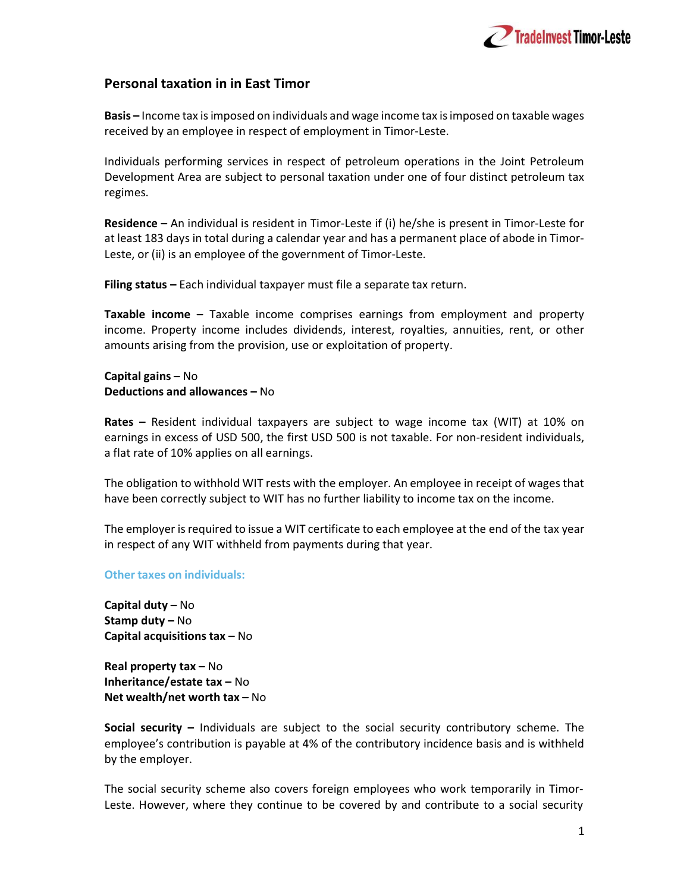

## Personal taxation in in East Timor

Basis – Income tax is imposed on individuals and wage income tax is imposed on taxable wages received by an employee in respect of employment in Timor-Leste.

Individuals performing services in respect of petroleum operations in the Joint Petroleum Development Area are subject to personal taxation under one of four distinct petroleum tax regimes.

Residence – An individual is resident in Timor-Leste if (i) he/she is present in Timor-Leste for at least 183 days in total during a calendar year and has a permanent place of abode in Timor-Leste, or (ii) is an employee of the government of Timor-Leste.

Filing status – Each individual taxpayer must file a separate tax return.

Taxable income – Taxable income comprises earnings from employment and property income. Property income includes dividends, interest, royalties, annuities, rent, or other amounts arising from the provision, use or exploitation of property.

## Capital gains – No Deductions and allowances – No

Rates – Resident individual taxpayers are subject to wage income tax (WIT) at 10% on earnings in excess of USD 500, the first USD 500 is not taxable. For non-resident individuals, a flat rate of 10% applies on all earnings.

The obligation to withhold WIT rests with the employer. An employee in receipt of wages that have been correctly subject to WIT has no further liability to income tax on the income.

The employer is required to issue a WIT certificate to each employee at the end of the tax year in respect of any WIT withheld from payments during that year.

## Other taxes on individuals:

Capital duty – No Stamp duty – No Capital acquisitions tax – No

Real property tax – No Inheritance/estate tax – No Net wealth/net worth tax – No

Social security – Individuals are subject to the social security contributory scheme. The employee's contribution is payable at 4% of the contributory incidence basis and is withheld by the employer.

The social security scheme also covers foreign employees who work temporarily in Timor-Leste. However, where they continue to be covered by and contribute to a social security